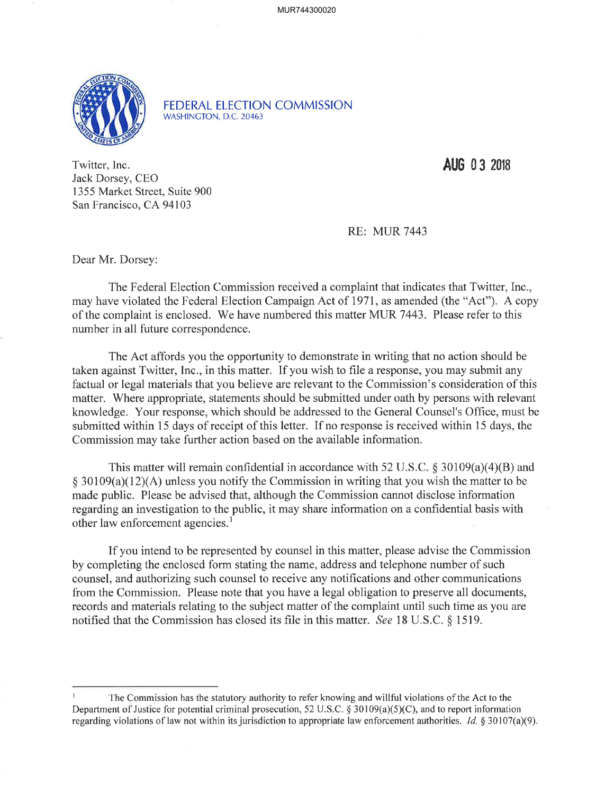MUR744300020



FEDERAL ELECTION COMMISSION WASHINCTON, D.C.20463

Twitter, Inc. Jack Dorsey, CEO 1355 Market Street, Suite 900 San Francisco, CA 94103

AU6 0 3 20ts

RE: MUR 7443

Dear Mr. Dorsey:

The Federal Election Commission received a complaint that indicates that Twitter, Inc., may have violated the Federal Election Campaign Act of 1971, as amended (the "Act"). A copy of the complaint is enclosed. We have numbered this matter MUR 7443. Please refer to this number in all future correspondence.

The Act affords you the opportunity to demonstrate in writing that no action should be taken against Twitter, Inc., in this matter. If you wish to file a response, you may submit any factual or legal materials that you believe are relevant to the Commission's consideration of this matter. Where appropriate, statements should be submitted under oath by persons with relevant knowledge. Your response, which should be addressed to the General Counsel's Office, must be submitted within 15 days of receipt of this letter. If no response is received within l5 days, the Commission may take further action based on the available information.

This matter will remain confidential in accordance with 52 U.S.C.  $\S 30109(a)(4)(B)$  and  $\S$  30109(a)(12)(A) unless you notify the Commission in writing that you wish the matter to be made public. Please be advised that, although the Commission cannot disclose information regarding an investigation to the public, it may share information on a confidential basis with other law enforcement agencies.<sup>1</sup>

If you intend to be represented by counsel in this matter, please advise the Commission by completing the enclosed form stating the name, address and telephone number of such counsel, and authorizing such counsel to receive any notifications and other communications from the Commission. Please note that you have a legal obligation to preserve all documents, records and materials relating to the subject matter of the complaint until such time as you are notified that the Commission has closed its file in this matter. See 18 U.S.C. \$ 1519.

The Commission has the statutory authority to refer knowing and willful violations of the Act to the Department of Justice for potential criminal prosecution, 52 U.S.C. \$ 30109(a)(5)(C), and to report information regarding violations of law not within its jurisdiction to appropriate law enforcement authorities. Id.  $\S 30107(a)(9)$ .